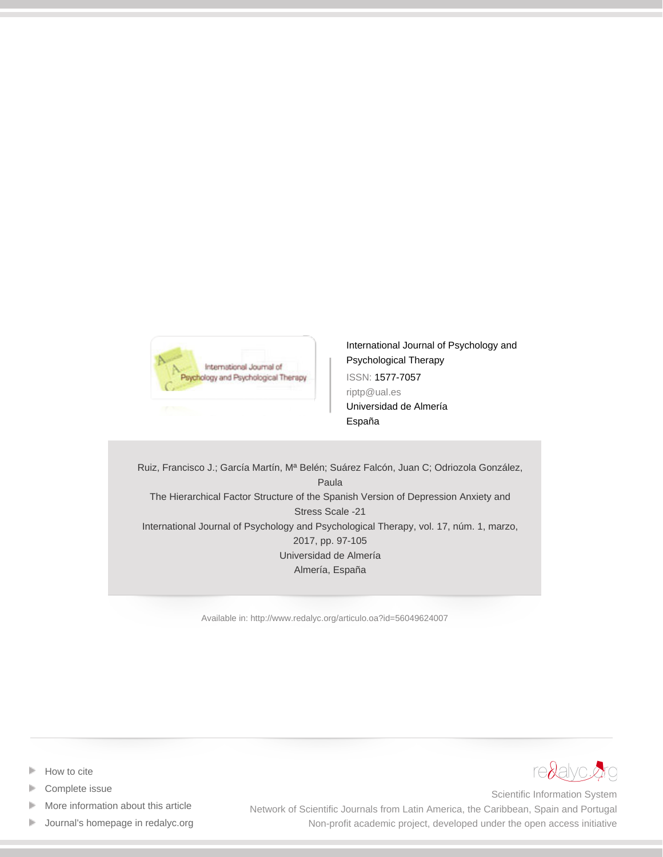

[International Journal of Psychology and](http://www.redalyc.org/revista.oa?id=560) [Psychological Therapy](http://www.redalyc.org/revista.oa?id=560) ISSN: 1577-7057 riptp@ual.es Universidad de Almería España

Ruiz, Francisco J.; García Martín, Mª Belén; Suárez Falcón, Juan C; Odriozola González, Paula The Hierarchical Factor Structure of the Spanish Version of Depression Anxiety and Stress Scale -21 International Journal of Psychology and Psychological Therapy, vol. 17, núm. 1, marzo, 2017, pp. 97-105 Universidad de Almería Almería, España

[Available in: http://www.redalyc.org/articulo.oa?id=56049624007](http://www.redalyc.org/articulo.oa?id=56049624007)



- [How to cite](http://www.redalyc.org/comocitar.oa?id=56049624007)
- [Complete issue](http://www.redalyc.org/fasciculo.oa?id=560&numero=49624)
- [More information about this article](http://www.redalyc.org/articulo.oa?id=56049624007) Þ
- [Journal's homepage in redalyc.org](http://www.redalyc.org/revista.oa?id=560)  $\mathbb P$

Scientific Information System Network of Scientific Journals from Latin America, the Caribbean, Spain and Portugal Non-profit academic project, developed under the open access initiative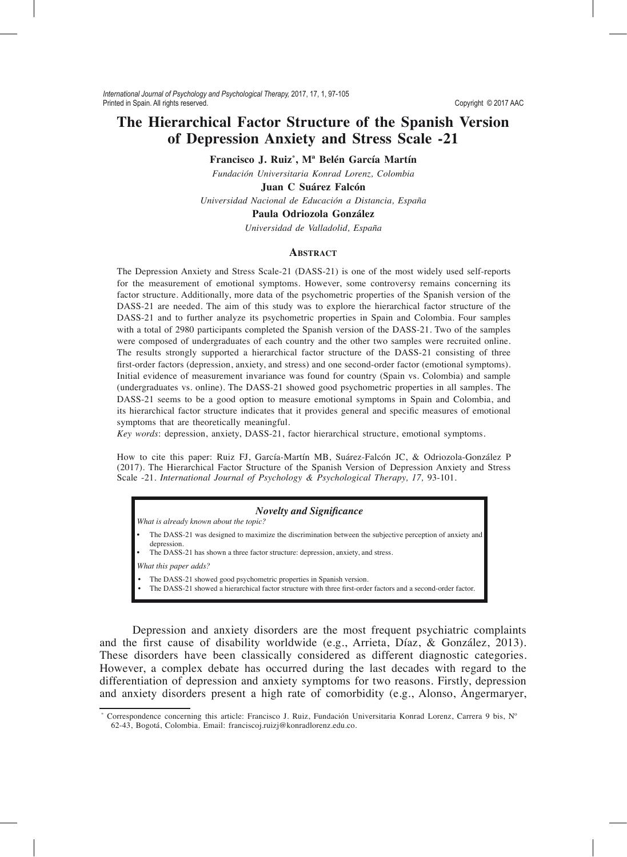# The Hierarchical Factor Structure of the Spanish Version of Depression Anxiety and Stress Scale -21

Francisco J. Ruiz<sup>\*</sup>, M<sup>ª</sup> Belén García Martín

Fundación Universitaria Konrad Lorenz, Colombia

Juan C Suárez Falcón

Universidad Nacional de Educación a Distancia, España

# Paula Odriozola González

Universidad de Valladolid, España

### **ARSTRACT**

The Depression Anxiety and Stress Scale-21 (DASS-21) is one of the most widely used self-reports for the measurement of emotional symptoms. However, some controversy remains concerning its factor structure. Additionally, more data of the psychometric properties of the Spanish version of the DASS-21 are needed. The aim of this study was to explore the hierarchical factor structure of the DASS-21 and to further analyze its psychometric properties in Spain and Colombia. Four samples with a total of 2980 participants completed the Spanish version of the DASS-21. Two of the samples were composed of undergraduates of each country and the other two samples were recruited online. The results strongly supported a hierarchical factor structure of the DASS-21 consisting of three first-order factors (depression, anxiety, and stress) and one second-order factor (emotional symptoms). Initial evidence of measurement invariance was found for country (Spain vs. Colombia) and sample (undergraduates vs. online). The DASS-21 showed good psychometric properties in all samples. The DASS-21 seems to be a good option to measure emotional symptoms in Spain and Colombia, and its hierarchical factor structure indicates that it provides general and specific measures of emotional symptoms that are theoretically meaningful.

Key words: depression, anxiety, DASS-21, factor hierarchical structure, emotional symptoms.

How to cite this paper: Ruiz FJ, García-Martín MB, Suárez-Falcón JC, & Odriozola-González P (2017). The Hierarchical Factor Structure of the Spanish Version of Depression Anxiety and Stress Scale -21. International Journal of Psychology & Psychological Therapy, 17, 93-101.

### **Novelty and Significance**

What is already known about the topic?

- The DASS-21 was designed to maximize the discrimination between the subjective perception of anxiety and depression.
- The DASS-21 has shown a three factor structure: depression, anxiety, and stress.

What this paper adds?

- The DASS-21 showed good psychometric properties in Spanish version.
- The DASS-21 showed a hierarchical factor structure with three first-order factors and a second-order factor.

Depression and anxiety disorders are the most frequent psychiatric complaints and the first cause of disability worldwide (e.g., Arrieta, Díaz, & González, 2013). These disorders have been classically considered as different diagnostic categories. However, a complex debate has occurred during the last decades with regard to the differentiation of depression and anxiety symptoms for two reasons. Firstly, depression and anxiety disorders present a high rate of comorbidity (e.g., Alonso, Angermaryer,

Correspondence concerning this article: Francisco J. Ruiz, Fundación Universitaria Konrad Lorenz, Carrera 9 bis, Nº 62-43, Bogotá, Colombia. Email: franciscoj.ruizj@konradlorenz.edu.co.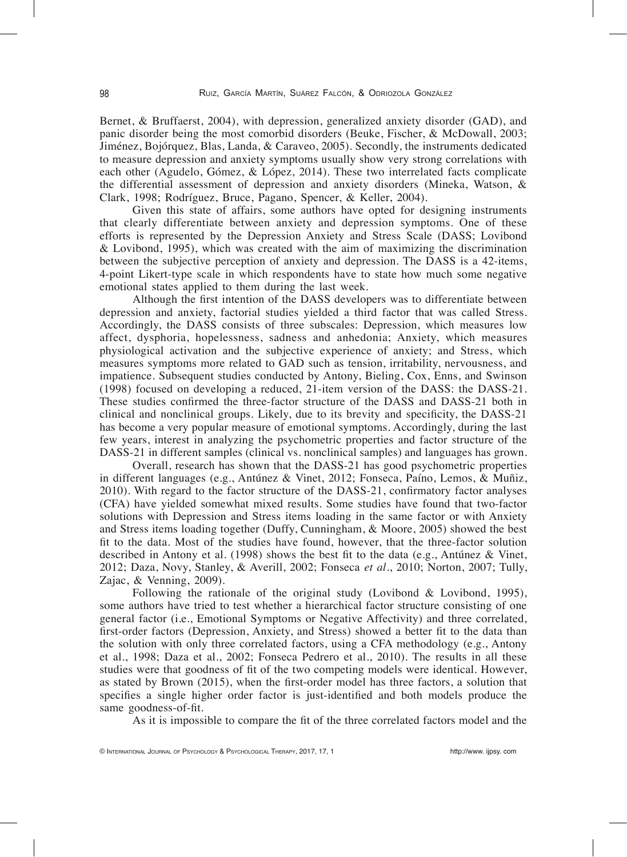Bernet, & Bruffaerst, 2004), with depression, generalized anxiety disorder (GAD), and panic disorder being the most comorbid disorders (Beuke, Fischer, & McDowall, 2003; Jiménez, Bojórquez, Blas, Landa,  $&$  Caraveo, 2005). Secondly, the instruments dedicated to measure depression and anxiety symptoms usually show very strong correlations with each other (Agudelo, Gómez,  $\&$  López, 2014). These two interrelated facts complicate the differential assessment of depression and anxiety disorders (Mineka, Watson,  $\&$ Clark, 1998; Rodríguez, Bruce, Pagano, Spencer, & Keller, 2004).

Given this state of affairs, some authors have opted for designing instruments that clearly differentiate between anxiety and depression symptoms. One of these efforts is represented by the Depression Anxiety and Stress Scale DASS Lovibond Lovibond, 1995, which was created with the aim of maximizing the discrimination between the subjective perception of anxiety and depression. The DASS is a 42-items, 4-point Likert-type scale in which respondents have to state how much some negative emotional states applied to them during the last week.

Although the first intention of the DASS developers was to differentiate between depression and anxiety, factorial studies yielded a third factor that was called Stress. Accordingly, the DASS consists of three subscales: Depression, which measures low affect, dysphoria, hopelessness, sadness and anhedonia; Anxiety, which measures physiological activation and the subjective experience of anxiety; and Stress, which measures symptoms more related to GAD such as tension, irritability, nervousness, and impatience. Subsequent studies conducted by Antony, Bieling, Cox, Enns, and Swinson 1998 focused on developing a reduced, 21-item version of the DASS: the DASS-21. These studies confirmed the three-factor structure of the DASS and DASS-21 both in clinical and nonclinical groups. Likely, due to its brevity and specificity, the DASS-21 has become a very popular measure of emotional symptoms. Accordingly, during the last few years, interest in analyzing the psychometric properties and factor structure of the DASS-21 in different samples (clinical vs. nonclinical samples) and languages has grown.

Overall, research has shown that the DASS-21 has good psychometric properties in different languages (e.g., Antúnez & Vinet, 2012; Fonseca, Paíno, Lemos, & Muñiz, 2010). With regard to the factor structure of the DASS-21, confirmatory factor analyses CFA have yielded somewhat mixed results. Some studies have found that two-factor solutions with Depression and Stress items loading in the same factor or with Anxiety and Stress items loading together (Duffy, Cunningham,  $\&$  Moore, 2005) showed the best fit to the data. Most of the studies have found, however, that the three-factor solution described in Antony et al. (1998) shows the best fit to the data (e.g., Antúnez & Vinet, 2012; Daza, Novy, Stanley, & Averill, 2002; Fonseca et al., 2010; Norton, 2007; Tully, Zajac,  $&$  Venning, 2009).

Following the rationale of the original study (Lovibond  $\&$  Lovibond, 1995), some authors have tried to test whether a hierarchical factor structure consisting of one general factor i.e., Emotional Symptoms or Negative Affectivity and three correlated, first-order factors (Depression, Anxiety, and Stress) showed a better fit to the data than the solution with only three correlated factors, using a CFA methodology (e.g., Antony et al., 1998; Daza et al., 2002; Fonseca Pedrero et al., 2010). The results in all these studies were that goodness of fit of the two competing models were identical. However, as stated by Brown  $(2015)$ , when the first-order model has three factors, a solution that specifies a single higher order factor is just-identified and both models produce the same goodness-of-fit.

As it is impossible to compare the fit of the three correlated factors model and the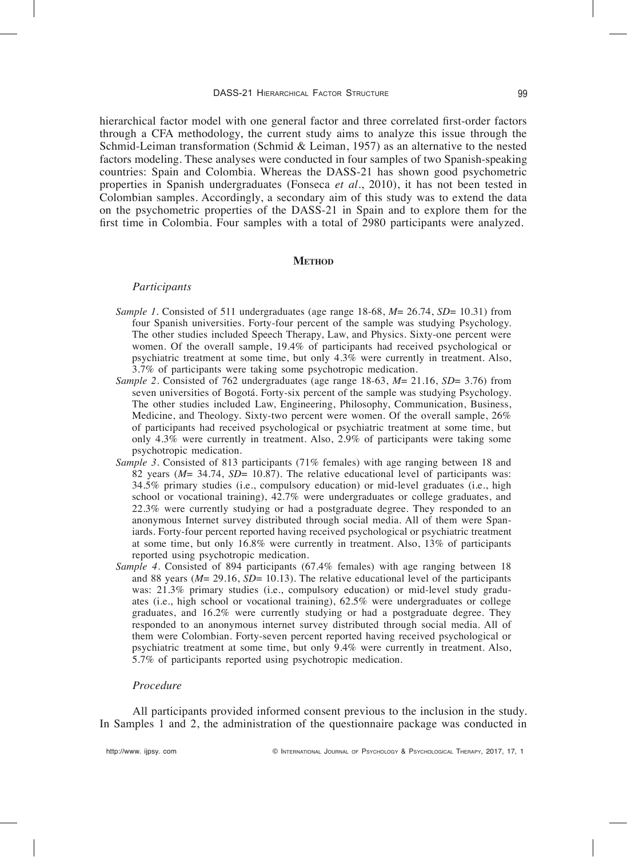hierarchical factor model with one general factor and three correlated first-order factors through a CFA methodology, the current study aims to analyze this issue through the Schmid-Leiman transformation (Schmid & Leiman, 1957) as an alternative to the nested factors modeling. These analyses were conducted in four samples of two Spanish-speaking countries: Spain and Colombia. Whereas the DASS-21 has shown good psychometric properties in Spanish undergraduates Fonseca *et al.*, 2010, it has not been tested in Colombian samples. Accordingly, a secondary aim of this study was to extend the data on the psychometric properties of the DASS-21 in Spain and to explore them for the first time in Colombia. Four samples with a total of  $\overline{2980}$  participants were analyzed.

#### **METHOD**

# *Participants*

- *Sample 1*. Consisted of 511 undergraduates (age range 18-68,  $M = 26.74$ ,  $SD = 10.31$ ) from four Spanish universities. Forty-four percent of the sample was studying Psychology. The other studies included Speech Therapy, Law, and Physics. Sixty-one percent were women. Of the overall sample, 19.4% of participants had received psychological or psychiatric treatment at some time, but only 4.3 were currently in treatment. Also, 3.7% of participants were taking some psychotropic medication.
- *Sample 2.* Consisted of 762 undergraduates (age range  $18-63$ ,  $M = 21.16$ ,  $SD = 3.76$ ) from seven universities of Bogotá. Forty-six percent of the sample was studying Psychology. The other studies included Law, Engineering, Philosophy, Communication, Business, Medicine, and Theology. Sixty-two percent were women. Of the overall sample,  $26\%$ of participants had received psychological or psychiatric treatment at some time, but only  $4.3\%$  were currently in treatment. Also, 2.9% of participants were taking some psychotropic medication.
- Sample 3. Consisted of 813 participants (71% females) with age ranging between 18 and 82 years *(M*= 34.74, *SD*= 10.87). The relative educational level of participants was: 34.5% primary studies (i.e., compulsory education) or mid-level graduates (i.e., high school or vocational training), 42.7% were undergraduates or college graduates, and 22.3% were currently studying or had a postgraduate degree. They responded to an anonymous Internet survey distributed through social media. All of them were Spaniards. Forty-four percent reported having received psychological or psychiatric treatment at some time, but only  $16.8\%$  were currently in treatment. Also,  $13\%$  of participants reported using psychotropic medication.
- Sample 4. Consisted of 894 participants (67.4% females) with age ranging between 18 and 88 years ( $M = 29.16$ ,  $SD = 10.13$ ). The relative educational level of the participants was: 21.3% primary studies (i.e., compulsory education) or mid-level study graduates (i.e., high school or vocational training), 62.5% were undergraduates or college graduates, and 16.2% were currently studying or had a postgraduate degree. They responded to an anonymous internet survey distributed through social media. All of them were Colombian. Forty-seven percent reported having received psychological or psychiatric treatment at some time, but only 9.4 were currently in treatment. Also, 5.7% of participants reported using psychotropic medication.

## *Procedure*

All participants provided informed consent previous to the inclusion in the study. In Samples 1 and 2, the administration of the questionnaire package was conducted in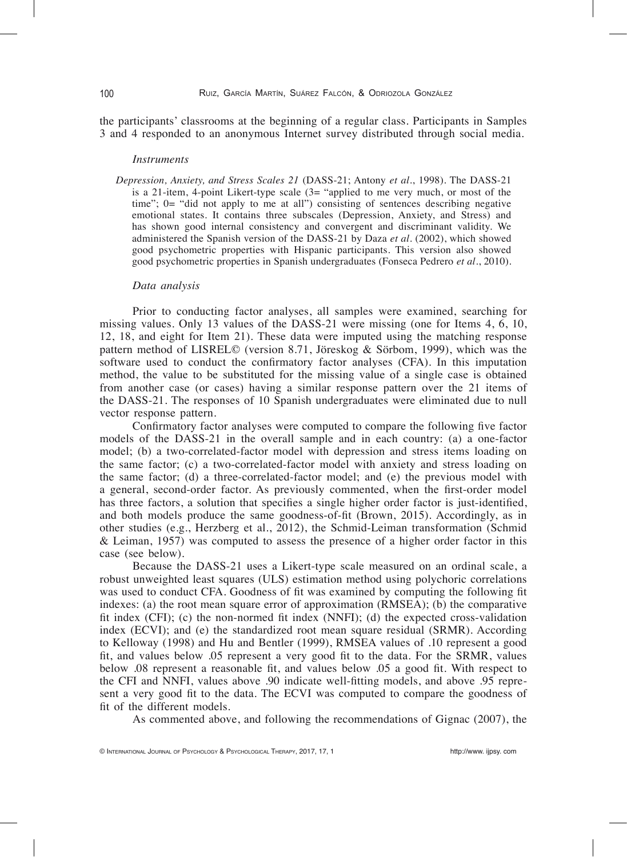the participants' classrooms at the beginning of a regular class. Participants in Samples 3 and 4 responded to an anonymous Internet survey distributed through social media.

### *Instruments*

Depression, Anxiety, and Stress Scales 21 (DASS-21; Antony *et al.*, 1998). The DASS-21 is a 21-item, 4-point Likert-type scale  $(3=$  "applied to me very much, or most of the time";  $0 =$  "did not apply to me at all") consisting of sentences describing negative emotional states. It contains three subscales (Depression, Anxiety, and Stress) and has shown good internal consistency and convergent and discriminant validity. We administered the Spanish version of the DASS-21 by Daza et al. (2002), which showed good psychometric properties with Hispanic participants. This version also showed good psychometric properties in Spanish undergraduates (Fonseca Pedrero et al., 2010).

### *-ata analysis*

Prior to conducting factor analyses, all samples were examined, searching for missing values. Only 13 values of the DASS-21 were missing (one for Items  $4, 6, 10$ , 12, 18, and eight for Item 21). These data were imputed using the matching response pattern method of LISREL© (version 8.71, Jöreskog & Sörbom, 1999), which was the software used to conduct the confirmatory factor analyses  $(CFA)$ . In this imputation method, the value to be substituted for the missing value of a single case is obtained from another case (or cases) having a similar response pattern over the 21 items of the DASS-21. The responses of 10 Spanish undergraduates were eliminated due to null vector response pattern.

Confirmatory factor analyses were computed to compare the following five factor models of the DASS-21 in the overall sample and in each country: (a) a one-factor model; (b) a two-correlated-factor model with depression and stress items loading on the same factor; (c) a two-correlated-factor model with anxiety and stress loading on the same factor; (d) a three-correlated-factor model; and (e) the previous model with a general, second-order factor. As previously commented, when the first-order model has three factors, a solution that specifies a single higher order factor is just-identified, and both models produce the same goodness-of-fit (Brown, 2015). Accordingly, as in other studies (e.g., Herzberg et al., 2012), the Schmid-Leiman transformation (Schmid  $&$  Leiman, 1957) was computed to assess the presence of a higher order factor in this case (see below).

Because the DASS-21 uses a Likert-type scale measured on an ordinal scale, a robust unweighted least squares (ULS) estimation method using polychoric correlations was used to conduct CFA. Goodness of fit was examined by computing the following fit indexes: (a) the root mean square error of approximation (RMSEA); (b) the comparative fit index  $(CFI)$ ; (c) the non-normed fit index  $(NNFI)$ ; (d) the expected cross-validation index (ECVI); and (e) the standardized root mean square residual (SRMR). According to Kelloway (1998) and Hu and Bentler (1999), RMSEA values of .10 represent a good fit, and values below .05 represent a very good fit to the data. For the SRMR, values below .08 represent a reasonable fit, and values below .05 a good fit. With respect to the CFI and NNFI, values above .90 indicate well-fitting models, and above .95 represent a very good fit to the data. The ECVI was computed to compare the goodness of fit of the different models.

As commented above, and following the recommendations of Gignac (2007), the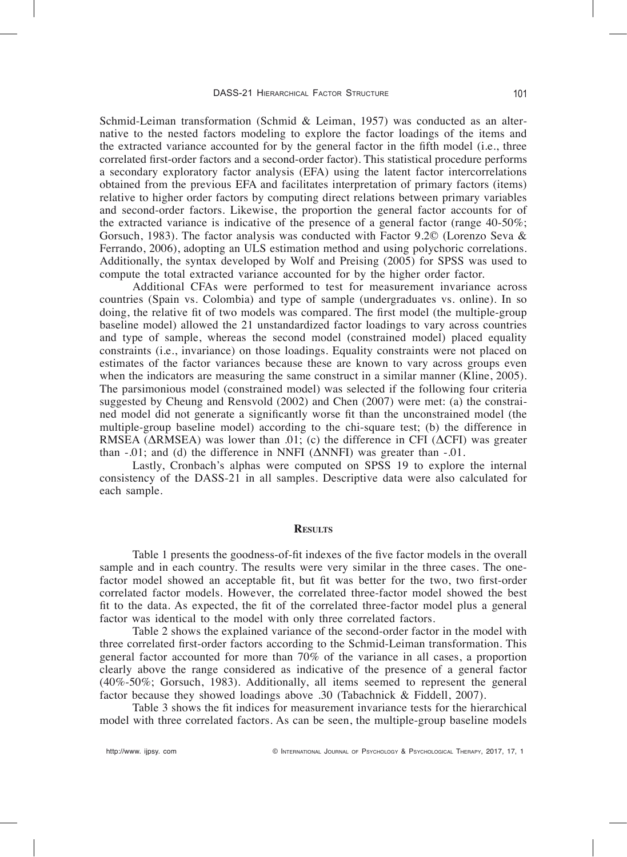Schmid-Leiman transformation (Schmid & Leiman, 1957) was conducted as an alternative to the nested factors modeling to explore the factor loadings of the items and the extracted variance accounted for by the general factor in the fifth model (*i.e.*, three correlated first-order factors and a second-order factor). This statistical procedure performs a secondary exploratory factor analysis (EFA) using the latent factor intercorrelations obtained from the previous EFA and facilitates interpretation of primary factors (items) relative to higher order factors by computing direct relations between primary variables and second-order factors. Likewise, the proportion the general factor accounts for of the extracted variance is indicative of the presence of a general factor (range  $40-50\%$ ; Gorsuch, 1983). The factor analysis was conducted with Factor 9.2 $\degree$  (Lorenzo Seva & Ferrando, 2006, adopting an ULS estimation method and using polychoric correlations. Additionally, the syntax developed by Wolf and Preising (2005) for SPSS was used to compute the total extracted variance accounted for by the higher order factor.

Additional CFAs were performed to test for measurement invariance across countries (Spain vs. Colombia) and type of sample (undergraduates vs. online). In so doing, the relative fit of two models was compared. The first model (the multiple-group baseline model) allowed the 21 unstandardized factor loadings to vary across countries and type of sample, whereas the second model (constrained model) placed equality constraints (i.e., invariance) on those loadings. Equality constraints were not placed on estimates of the factor variances because these are known to vary across groups even when the indicators are measuring the same construct in a similar manner (Kline,  $2005$ ). The parsimonious model (constrained model) was selected if the following four criteria suggested by Cheung and Rensvold (2002) and Chen (2007) were met: (a) the constrained model did not generate a significantly worse fit than the unconstrained model (the multiple-group baseline model) according to the chi-square test; (b) the difference in RMSEA ( $\triangle$ RMSEA) was lower than .01; (c) the difference in CFI ( $\triangle$ CFI) was greater than  $-0.01$ ; and (d) the difference in NNFI ( $\triangle$ NNFI) was greater than  $-0.01$ .

Lastly, Cronbach's alphas were computed on SPSS 19 to explore the internal consistency of the DASS-21 in all samples. Descriptive data were also calculated for each sample.

#### **RESULTS**

Table 1 presents the goodness-of-fit indexes of the five factor models in the overall sample and in each country. The results were very similar in the three cases. The onefactor model showed an acceptable fit, but fit was better for the two, two first-order correlated factor models. However, the correlated three-factor model showed the best fit to the data. As expected, the fit of the correlated three-factor model plus a general factor was identical to the model with only three correlated factors.

Table 2 shows the explained variance of the second-order factor in the model with three correlated first-order factors according to the Schmid-Leiman transformation. This general factor accounted for more than 70
of the variance in all cases, a proportion clearly above the range considered as indicative of the presence of a general factor (40%-50%; Gorsuch, 1983). Additionally, all items seemed to represent the general factor because they showed loadings above .30 (Tabachnick & Fiddell, 2007).

Table 3 shows the fit indices for measurement invariance tests for the hierarchical model with three correlated factors. As can be seen, the multiple-group baseline models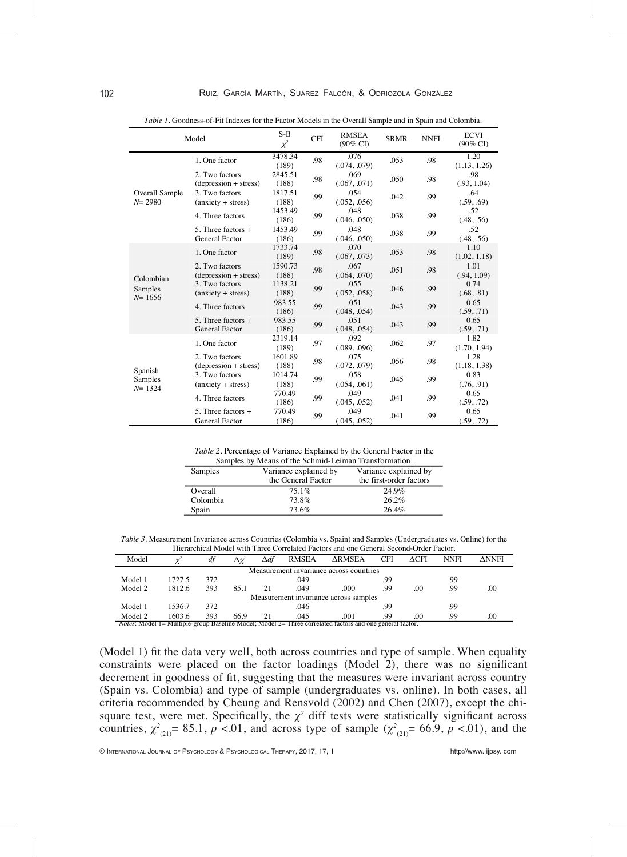| Model                              |                                                      | $S-B$<br>$\chi^2$ | <b>CFI</b> | <b>RMSEA</b><br>(90% CI) | <b>SRMR</b> | <b>NNFI</b>                                                                                                                                                                                                                                                         | <b>ECVI</b><br>$(90\%$ CD |
|------------------------------------|------------------------------------------------------|-------------------|------------|--------------------------|-------------|---------------------------------------------------------------------------------------------------------------------------------------------------------------------------------------------------------------------------------------------------------------------|---------------------------|
|                                    | 1. One factor                                        | 3478.34<br>(189)  | .98        | .076<br>(.074, .079)     | .053        | .98                                                                                                                                                                                                                                                                 | 1.20                      |
| Overall Sample<br>$N = 2980$       | 2. Two factors<br>$(depression + stress)$            | 2845.51<br>(188)  | .98        | .069<br>(.067, .071)     | .050        | .98                                                                                                                                                                                                                                                                 | .98<br>(.93, 1.04)        |
|                                    | 3. Two factors<br>$(\text{anxiety} + \text{stress})$ | 1817.51<br>(188)  | .99        | .054<br>(.052, .056)     | .042        | .99                                                                                                                                                                                                                                                                 | .64<br>(.59, .69)         |
|                                    | 4. Three factors                                     | 1453.49<br>(186)  | .99        | .048<br>(.046, .050)     | .038        | .99                                                                                                                                                                                                                                                                 | .52<br>(.48, .56)         |
|                                    | 5. Three factors +<br>General Factor                 | 1453.49<br>(186)  | .99        | .048<br>(.046, .050)     | .038        | .52<br>.99<br>(.48, .56)<br>1.10<br>.98<br>1.01<br>.98<br>(.94, 1.09)<br>0.74<br>.99<br>(.68, .81)<br>0.65<br>.99<br>(.59, .71)<br>0.65<br>.99<br>(.59, .71)<br>1.82<br>.97<br>1.28<br>.98<br>0.83<br>.99<br>(.76, .91)<br>0.65<br>.99<br>(.59, .72)<br>0.65<br>.99 |                           |
| Colombian<br>Samples<br>$N = 1656$ | 1. One factor                                        | 1733.74<br>(189)  | .98        | .070<br>(.067, .073)     | .053        |                                                                                                                                                                                                                                                                     | (1.02, 1.18)              |
|                                    | 2. Two factors<br>$(depression + stress)$            | 1590.73<br>(188)  | .98        | .067<br>(.064, .070)     | .051        |                                                                                                                                                                                                                                                                     |                           |
|                                    | 3. Two factors<br>$(\text{anxiety} + \text{stress})$ | 1138.21<br>(188)  | .99        | .055<br>(.052, .058)     | .046        |                                                                                                                                                                                                                                                                     |                           |
|                                    | 4. Three factors                                     | 983.55<br>(186)   | .99        | .051<br>(.048, .054)     | .043        |                                                                                                                                                                                                                                                                     |                           |
|                                    | 5. Three factors $+$<br><b>General Factor</b>        | 983.55<br>(186)   | .99        | .051<br>(.048, .054)     | .043        | (1.13, 1.26)<br>.062<br>(1.70, 1.94)<br>.056<br>(1.18, 1.38)<br>.045<br>.041<br>.041<br>(.59, .72)                                                                                                                                                                  |                           |
| Spanish<br>Samples<br>$N = 1324$   | 1. One factor                                        | 2319.14<br>(189)  | .97        | .092<br>(.089, .096)     |             |                                                                                                                                                                                                                                                                     |                           |
|                                    | 2. Two factors<br>$(depression + stress)$            | 1601.89<br>(188)  | .98        | .075<br>(.072, .079)     |             |                                                                                                                                                                                                                                                                     |                           |
|                                    | 3. Two factors<br>$(\text{anxiety} + \text{stress})$ | 1014.74<br>(188)  | .99        | .058<br>(.054, .061)     |             |                                                                                                                                                                                                                                                                     |                           |
|                                    | 4. Three factors                                     | 770.49<br>(186)   | .99        | .049<br>(.045, .052)     |             |                                                                                                                                                                                                                                                                     |                           |
|                                    | 5. Three factors $+$<br>General Factor               | 770.49<br>(186)   | .99        | .049<br>(.045, .052)     |             |                                                                                                                                                                                                                                                                     |                           |

Table 1. Goodness-of-Fit Indexes for the Factor Models in the Overall Sample and in Spain and Colombia.

Table 2. Percentage of Variance Explained by the General Factor in the

| Samples by Means of the Schmid-Leiman Transformation. |                       |                         |  |  |  |  |  |
|-------------------------------------------------------|-----------------------|-------------------------|--|--|--|--|--|
| Samples                                               | Variance explained by | Variance explained by   |  |  |  |  |  |
|                                                       | the General Factor    | the first-order factors |  |  |  |  |  |
| Overall                                               | 75.1%                 | 24.9%                   |  |  |  |  |  |
| Colombia                                              | 73.8%                 | 26.2%                   |  |  |  |  |  |
| Spain                                                 | 73.6%                 | 26.4%                   |  |  |  |  |  |

Table 3. Measurement Invariance across Countries (Colombia vs. Spain) and Samples (Undergraduates vs. Online) for the Hierarchical Model with Three Correlated Factors and one General Second-Order Factor.

| Model                                                                                                            |        | df  |      | $\Delta df$ | <b>RMSEA</b> | <b>ARMSEA</b> | <b>CFI</b> | $\triangle$ CFI | <b>NNFI</b> | <b>ANNFI</b> |
|------------------------------------------------------------------------------------------------------------------|--------|-----|------|-------------|--------------|---------------|------------|-----------------|-------------|--------------|
| Measurement invariance across countries                                                                          |        |     |      |             |              |               |            |                 |             |              |
| Model 1                                                                                                          | 1727.5 | 372 |      |             | .049         |               | .99        |                 | .99         |              |
| Model 2                                                                                                          | 1812.6 | 393 | 85.1 | 21          | .049         | .000          | 99         | .00             | .99         | .00          |
| Measurement invariance across samples                                                                            |        |     |      |             |              |               |            |                 |             |              |
| Model 1                                                                                                          | 1536.7 | 372 |      |             | .046         |               | .99        |                 | .99         |              |
| Model 2                                                                                                          | 1603.6 | 393 | 66.9 | 21          | .045         | .001          | .99        | .00             | .99         | .00          |
| <i>Notes</i> : Model 1= Multiple-group Baseline Model; Model 2= Three correlated factors and one general factor. |        |     |      |             |              |               |            |                 |             |              |

(Model 1) fit the data very well, both across countries and type of sample. When equality constraints were placed on the factor loadings (Model 2), there was no significant decrement in goodness of fit, suggesting that the measures were invariant across country (Spain vs. Colombia) and type of sample (undergraduates vs. online). In both cases, all criteria recommended by Cheung and Rensvold (2002) and Chen (2007), except the chisquare test, were met. Specifically, the  $\chi^2$  diff tests were statistically significant across countries,  $\chi^{2}_{(21)} = 85.1$ ,  $p < 0.01$ , and across type of sample  $(\chi^{2}_{(21)} = 66.9, p < 0.01)$ , and the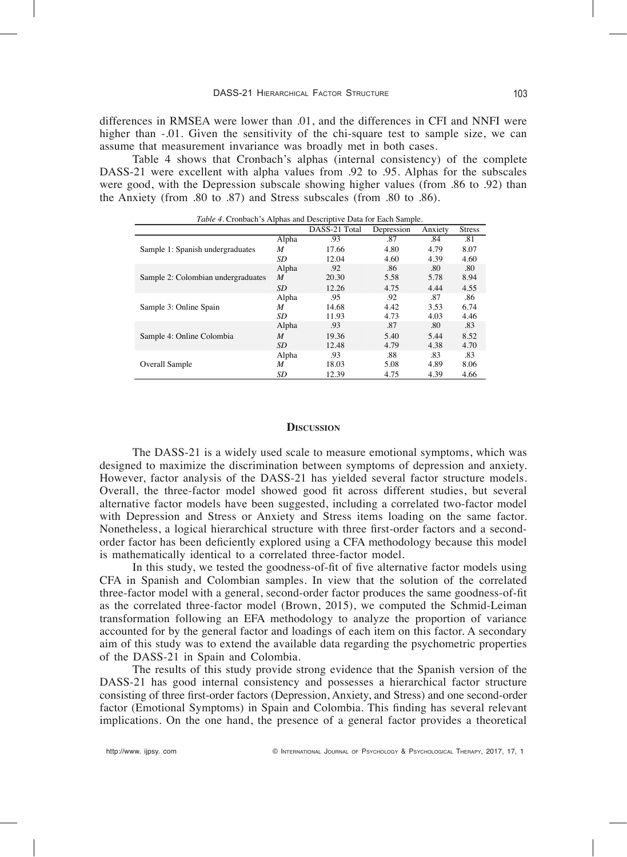differences in RMSEA were lower than .01, and the differences in CFI and NNFI were higher than -.01. Given the sensitivity of the chi-square test to sample size, we can assume that measurement invariance was broadly met in both cases.

Table 4 shows that Cronbach's alphas (internal consistency) of the complete DASS-21 were excellent with alpha values from .92 to .95. Alphas for the subscales were good, with the Depression subscale showing higher values (from .86 to .92) than the Anxiety (from .80 to .87) and Stress subscales (from .80 to .86).

| Tubic 7. Cronbach 8 Alphas and Descriptive Data for Each Sample. |       |               |            |         |               |  |  |  |  |
|------------------------------------------------------------------|-------|---------------|------------|---------|---------------|--|--|--|--|
|                                                                  |       | DASS-21 Total | Depression | Anxiety | <b>Stress</b> |  |  |  |  |
|                                                                  | Alpha | .93           | .87        | .84     | .81           |  |  |  |  |
| Sample 1: Spanish undergraduates                                 | M     | 17.66         | 4.80       | 4.79    | 8.07          |  |  |  |  |
|                                                                  | SD    | 12.04         | 4.60       | 4.39    | 4.60          |  |  |  |  |
|                                                                  | Alpha | .92           | .86        | .80     | .80           |  |  |  |  |
| Sample 2: Colombian undergraduates                               | M     | 20.30         | 5.58       | 5.78    | 8.94          |  |  |  |  |
|                                                                  | SD    | 12.26         | 4.75       | 4.44    | 4.55          |  |  |  |  |
|                                                                  | Alpha | .95           | .92        | .87     | .86           |  |  |  |  |
| Sample 3: Online Spain                                           | M     | 14.68         | 4.42       | 3.53    | 6.74          |  |  |  |  |
|                                                                  | SD    | 11.93         | 4.73       | 4.03    | 4.46          |  |  |  |  |
|                                                                  | Alpha | .93           | .87        | .80     | .83           |  |  |  |  |
| Sample 4: Online Colombia                                        | M     | 19.36         | 5.40       | 5.44    | 8.52          |  |  |  |  |
|                                                                  | SD    | 12.48         | 4.79       | 4.38    | 4.70          |  |  |  |  |
|                                                                  | Alpha | .93           | .88        | .83     | .83           |  |  |  |  |
| Overall Sample                                                   | M     | 18.03         | 5.08       | 4.89    | 8.06          |  |  |  |  |
|                                                                  | SD    | 12.39         | 4.75       | 4.39    | 4.66          |  |  |  |  |

*Table 4.* Cronbach's Alphas and Descriptive Data for Each Sample.

#### **DISCUSSION**

The DASS-21 is a widely used scale to measure emotional symptoms, which was designed to maximize the discrimination between symptoms of depression and anxiety. However, factor analysis of the DASS-21 has yielded several factor structure models. Overall, the three-factor model showed good fit across different studies, but several alternative factor models have been suggested, including a correlated two-factor model with Depression and Stress or Anxiety and Stress items loading on the same factor. Nonetheless, a logical hierarchical structure with three first-order factors and a secondorder factor has been deficiently explored using a CFA methodology because this model is mathematically identical to a correlated three-factor model.

In this study, we tested the goodness-of-fit of five alternative factor models using CFA in Spanish and Colombian samples. In view that the solution of the correlated three-factor model with a general, second-order factor produces the same goodness-of-fit as the correlated three-factor model (Brown, 2015), we computed the Schmid-Leiman transformation following an EFA methodology to analyze the proportion of variance accounted for by the general factor and loadings of each item on this factor. A secondary aim of this study was to extend the available data regarding the psychometric properties of the DASS-21 in Spain and Colombia.

The results of this study provide strong evidence that the Spanish version of the DASS-21 has good internal consistency and possesses a hierarchical factor structure consisting of three first-order factors (Depression, Anxiety, and Stress) and one second-order factor (Emotional Symptoms) in Spain and Colombia. This finding has several relevant implications. On the one hand, the presence of a general factor provides a theoretical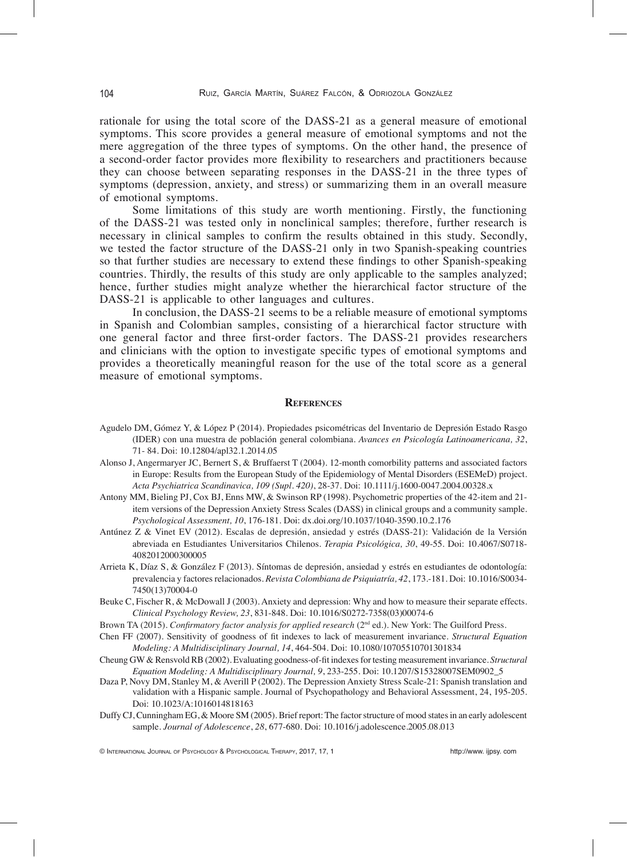rationale for using the total score of the DASS-21 as a general measure of emotional symptoms. This score provides a general measure of emotional symptoms and not the mere aggregation of the three types of symptoms. On the other hand, the presence of a second-order factor provides more flexibility to researchers and practitioners because they can choose between separating responses in the DASS-21 in the three types of symptoms (depression, anxiety, and stress) or summarizing them in an overall measure of emotional symptoms.

Some limitations of this study are worth mentioning. Firstly, the functioning of the DASS-21 was tested only in nonclinical samples; therefore, further research is necessary in clinical samples to confirm the results obtained in this study. Secondly, we tested the factor structure of the DASS-21 only in two Spanish-speaking countries so that further studies are necessary to extend these findings to other Spanish-speaking countries. Thirdly, the results of this study are only applicable to the samples analyzed hence, further studies might analyze whether the hierarchical factor structure of the DASS-21 is applicable to other languages and cultures.

In conclusion, the DASS-21 seems to be a reliable measure of emotional symptoms in Spanish and Colombian samples, consisting of a hierarchical factor structure with one general factor and three first-order factors. The DASS-21 provides researchers and clinicians with the option to investigate specific types of emotional symptoms and provides a theoretically meaningful reason for the use of the total score as a general measure of emotional symptoms.

### **references**

- Agudelo DM, Gómez Y, & López P (2014). Propiedades psicométricas del Inventario de Depresión Estado Rasgo (IDER) con una muestra de población general colombiana. *Avances en Psicología Latinoamericana*, 32, 71-84. Doi: 10.12804/apl32.1.2014.05
- Alonso J, Angermaryer JC, Bernert S, & Bruffaerst T (2004). 12-month comorbility patterns and associated factors in Europe: Results from the European Study of the Epidemiology of Mental Disorders (ESEMeD) project. *Acta Psychiatrica Scandinavica, 10 -Supl. 20*, 28-37. Doi: 10.1111j.1600-0047.2004.00328.x
- Antony MM, Bieling PJ, Cox BJ, Enns MW, & Swinson RP (1998). Psychometric properties of the 42-item and 21item versions of the Depression Anxiety Stress Scales (DASS) in clinical groups and a community sample. *Psychological Assessment, 10*, 176-181. Doi: dx.doi.org10.10371040-3590.10.2.176
- Antúnez Z & Vinet EV (2012). Escalas de depresión, ansiedad y estrés (DASS-21): Validación de la Versión abreviada en Estudiantes Universitarios Chilenos. *Terapia Psicolgica, 0*, 49-55. Doi: 10.4067S0718- 4082012000300005
- Arrieta K, Díaz S, & González F (2013). Síntomas de depresión, ansiedad y estrés en estudiantes de odontología: prevalencia y factores relacionados. *Revista Colombiana de Psiquiatra, 2*, 173.-181*.* Doi: 10.1016S0034- 74501370004-0
- Beuke C, Fischer R, & McDowall J (2003). Anxiety and depression: Why and how to measure their separate effects. *Clinical Psychology Review, 23, 831-848. Doi: 10.1016/S0272-7358(03)00074-6*
- Brown TA (2015). *Confirmatory factor analysis for applied research* (2<sup>nd</sup> ed.). New York: The Guilford Press.
- Chen FF (2007). Sensitivity of goodness of fit indexes to lack of measurement invariance. *Structural Equation Modeling: A Multidisciplinary Journal, 14, 464-504. Doi: 10.1080/10705510701301834*
- Cheung GW & Rensvold RB (2002). Evaluating goodness-of-fit indexes for testing measurement invariance. *Structural Equation Modeling: A Multidisciplinary Journal, 9, 233-255. Doi: 10.1207/S15328007SEM0902 5*
- Daza P, Novy DM, Stanley M, & Averill P (2002). The Depression Anxiety Stress Scale-21: Spanish translation and validation with a Hispanic sample. Journal of Psychopathology and Behavioral Assessment, 24, 195-205. Doi: 10.1023A:1016014818163
- Duffy CJ, Cunningham EG, & Moore SM (2005). Brief report: The factor structure of mood states in an early adolescent sample. *Journal of Adolescence*, 28, 677-680. Doi: 10.1016/j.adolescence.2005.08.013

© InternatIonal Journal of Psychology & PsychologIcal theraPy, 2017, 17, 1 http://www. ijpsy. com